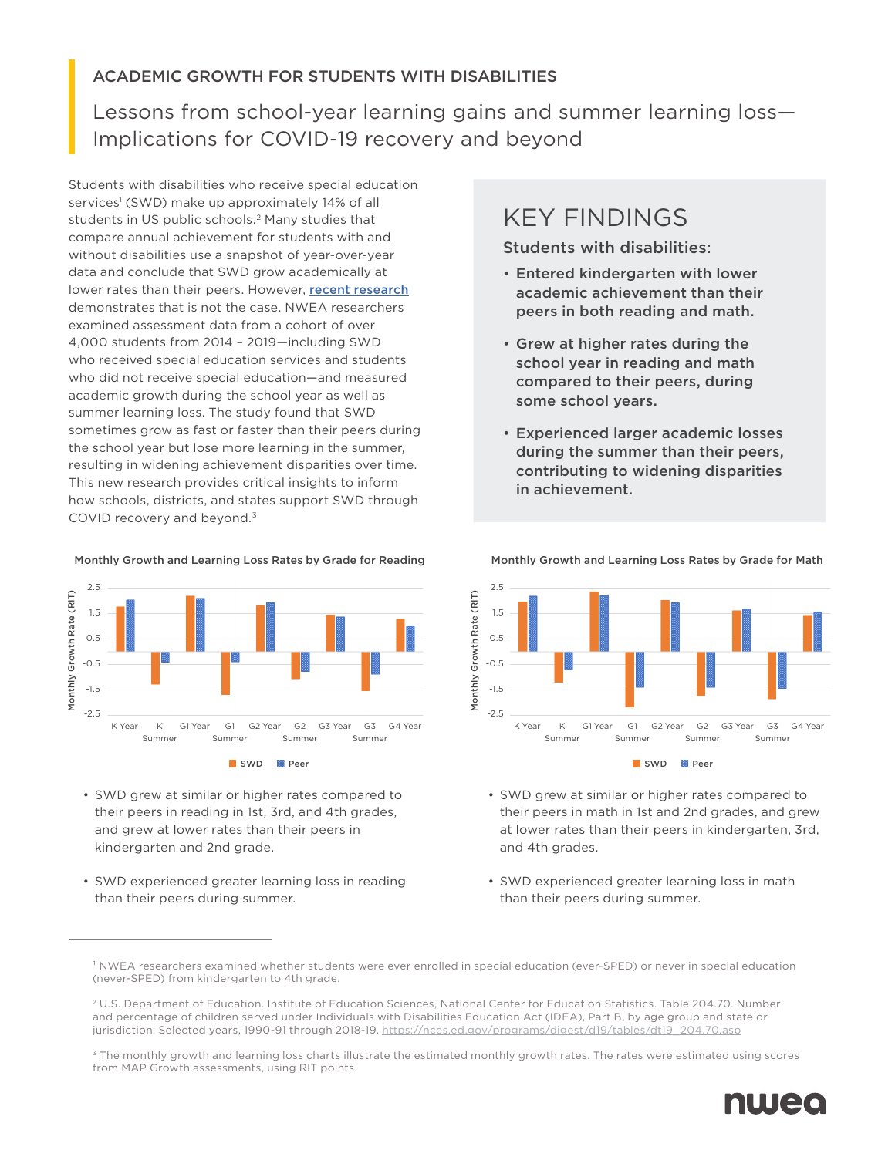### ACADEMIC GROWTH FOR STUDENTS WITH DISABILITIES

Lessons from school-year learning gains and summer learning loss— Implications for COVID-19 recovery and beyond

Students with disabilities who receive special education services<sup>1</sup> (SWD) make up approximately 14% of all students in US public schools.<sup>2</sup> Many studies that compare annual achievement for students with and without disabilities use a snapshot of year-over-year data and conclude that SWD grow academically at lower rates than their peers. However, [recent research](https://www.nwea.org/research/publication/understanding-differential-growth-during-school-years-and-summers-for-students-in-special-education/) demonstrates that is not the case. NWEA researchers examined assessment data from a cohort of over 4,000 students from 2014 – 2019—including SWD who received special education services and students who did not receive special education—and measured academic growth during the school year as well as summer learning loss. The study found that SWD sometimes grow as fast or faster than their peers during the school year but lose more learning in the summer, resulting in widening achievement disparities over time. This new research provides critical insights to inform how schools, districts, and states support SWD through COVID recovery and beyond.<sup>3</sup>

#### Monthly Growth and Learning Loss Rates by Grade for Reading



- SWD grew at similar or higher rates compared to their peers in reading in 1st, 3rd, and 4th grades, and grew at lower rates than their peers in kindergarten and 2nd grade.
- SWD experienced greater learning loss in reading than their peers during summer.

## KEY FINDINGS

Students with disabilities:

- Entered kindergarten with lower academic achievement than their peers in both reading and math.
- Grew at higher rates during the school year in reading and math compared to their peers, during some school years.
- Experienced larger academic losses during the summer than their peers, contributing to widening disparities in achievement.



- SWD grew at similar or higher rates compared to their peers in math in 1st and 2nd grades, and grew at lower rates than their peers in kindergarten, 3rd, and 4th grades.
- SWD experienced greater learning loss in math than their peers during summer.

 $3$  The monthly growth and learning loss charts illustrate the estimated monthly growth rates. The rates were estimated using scores from MAP Growth assessments, using RIT points.



Monthly Growth and Learning Loss Rates by Grade for Math

<sup>&</sup>lt;sup>1</sup> NWEA researchers examined whether students were ever enrolled in special education (ever-SPED) or never in special education (never-SPED) from kindergarten to 4th grade.

<sup>2</sup> U.S. Department of Education. Institute of Education Sciences, National Center for Education Statistics. Table 204.70. Number and percentage of children served under Individuals with Disabilities Education Act (IDEA), Part B, by age group and state or jurisdiction: Selected years, 1990-91 through 2018-19. [https://nces.ed.gov/programs/digest/d19/tables/dt19\\_204.70.asp](https://nces.ed.gov/programs/digest/d19/tables/dt19_204.70.asp)